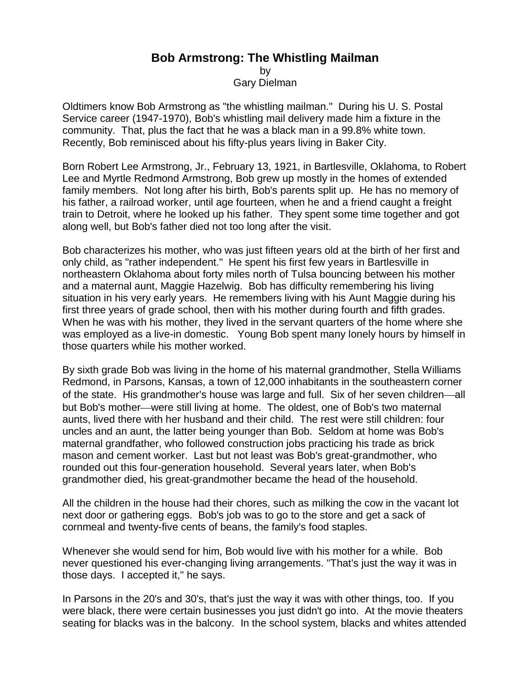## **Bob Armstrong: The Whistling Mailman**

by

Gary Dielman

Oldtimers know Bob Armstrong as "the whistling mailman." During his U. S. Postal Service career (1947-1970), Bob's whistling mail delivery made him a fixture in the community. That, plus the fact that he was a black man in a 99.8% white town. Recently, Bob reminisced about his fifty-plus years living in Baker City.

Born Robert Lee Armstrong, Jr., February 13, 1921, in Bartlesville, Oklahoma, to Robert Lee and Myrtle Redmond Armstrong, Bob grew up mostly in the homes of extended family members. Not long after his birth, Bob's parents split up. He has no memory of his father, a railroad worker, until age fourteen, when he and a friend caught a freight train to Detroit, where he looked up his father. They spent some time together and got along well, but Bob's father died not too long after the visit.

Bob characterizes his mother, who was just fifteen years old at the birth of her first and only child, as "rather independent." He spent his first few years in Bartlesville in northeastern Oklahoma about forty miles north of Tulsa bouncing between his mother and a maternal aunt, Maggie Hazelwig. Bob has difficulty remembering his living situation in his very early years. He remembers living with his Aunt Maggie during his first three years of grade school, then with his mother during fourth and fifth grades. When he was with his mother, they lived in the servant quarters of the home where she was employed as a live-in domestic. Young Bob spent many lonely hours by himself in those quarters while his mother worked.

By sixth grade Bob was living in the home of his maternal grandmother, Stella Williams Redmond, in Parsons, Kansas, a town of 12,000 inhabitants in the southeastern corner of the state. His grandmother's house was large and full. Six of her seven children—all but Bob's mother—were still living at home. The oldest, one of Bob's two maternal aunts, lived there with her husband and their child. The rest were still children: four uncles and an aunt, the latter being younger than Bob. Seldom at home was Bob's maternal grandfather, who followed construction jobs practicing his trade as brick mason and cement worker. Last but not least was Bob's great-grandmother, who rounded out this four-generation household. Several years later, when Bob's grandmother died, his great-grandmother became the head of the household.

All the children in the house had their chores, such as milking the cow in the vacant lot next door or gathering eggs. Bob's job was to go to the store and get a sack of cornmeal and twenty-five cents of beans, the family's food staples.

Whenever she would send for him, Bob would live with his mother for a while. Bob never questioned his ever-changing living arrangements. "That's just the way it was in those days. I accepted it," he says.

In Parsons in the 20's and 30's, that's just the way it was with other things, too. If you were black, there were certain businesses you just didn't go into. At the movie theaters seating for blacks was in the balcony. In the school system, blacks and whites attended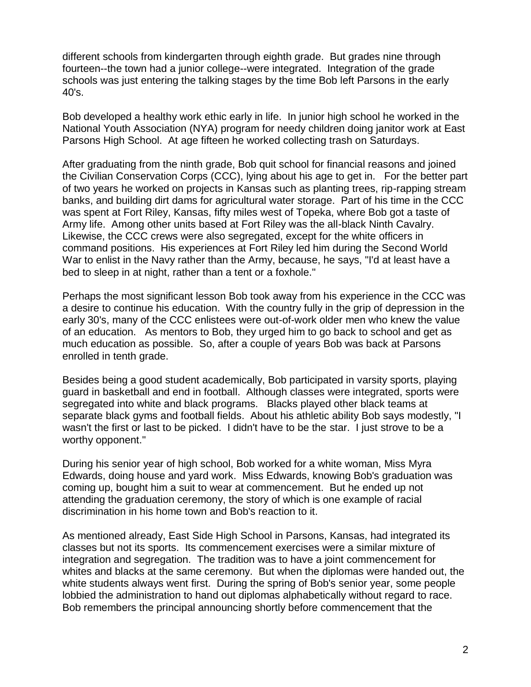different schools from kindergarten through eighth grade. But grades nine through fourteen--the town had a junior college--were integrated. Integration of the grade schools was just entering the talking stages by the time Bob left Parsons in the early 40's.

Bob developed a healthy work ethic early in life. In junior high school he worked in the National Youth Association (NYA) program for needy children doing janitor work at East Parsons High School. At age fifteen he worked collecting trash on Saturdays.

After graduating from the ninth grade, Bob quit school for financial reasons and joined the Civilian Conservation Corps (CCC), lying about his age to get in. For the better part of two years he worked on projects in Kansas such as planting trees, rip-rapping stream banks, and building dirt dams for agricultural water storage. Part of his time in the CCC was spent at Fort Riley, Kansas, fifty miles west of Topeka, where Bob got a taste of Army life. Among other units based at Fort Riley was the all-black Ninth Cavalry. Likewise, the CCC crews were also segregated, except for the white officers in command positions. His experiences at Fort Riley led him during the Second World War to enlist in the Navy rather than the Army, because, he says, "I'd at least have a bed to sleep in at night, rather than a tent or a foxhole."

Perhaps the most significant lesson Bob took away from his experience in the CCC was a desire to continue his education. With the country fully in the grip of depression in the early 30's, many of the CCC enlistees were out-of-work older men who knew the value of an education. As mentors to Bob, they urged him to go back to school and get as much education as possible. So, after a couple of years Bob was back at Parsons enrolled in tenth grade.

Besides being a good student academically, Bob participated in varsity sports, playing guard in basketball and end in football. Although classes were integrated, sports were segregated into white and black programs. Blacks played other black teams at separate black gyms and football fields. About his athletic ability Bob says modestly, "I wasn't the first or last to be picked. I didn't have to be the star. I just strove to be a worthy opponent."

During his senior year of high school, Bob worked for a white woman, Miss Myra Edwards, doing house and yard work. Miss Edwards, knowing Bob's graduation was coming up, bought him a suit to wear at commencement. But he ended up not attending the graduation ceremony, the story of which is one example of racial discrimination in his home town and Bob's reaction to it.

As mentioned already, East Side High School in Parsons, Kansas, had integrated its classes but not its sports. Its commencement exercises were a similar mixture of integration and segregation. The tradition was to have a joint commencement for whites and blacks at the same ceremony. But when the diplomas were handed out, the white students always went first. During the spring of Bob's senior year, some people lobbied the administration to hand out diplomas alphabetically without regard to race. Bob remembers the principal announcing shortly before commencement that the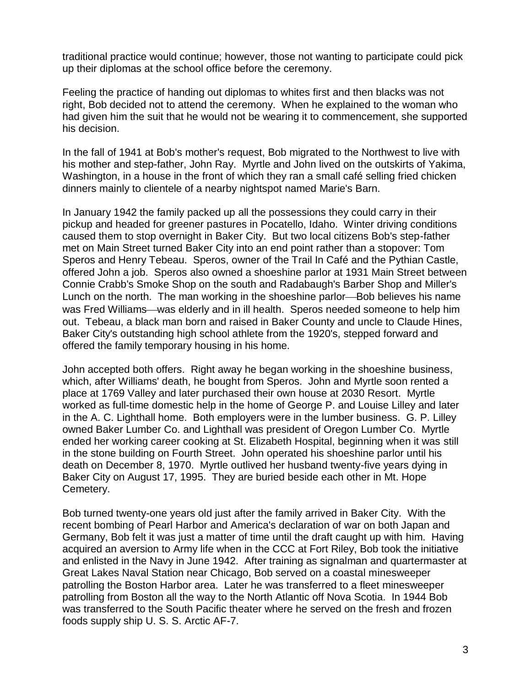traditional practice would continue; however, those not wanting to participate could pick up their diplomas at the school office before the ceremony.

Feeling the practice of handing out diplomas to whites first and then blacks was not right, Bob decided not to attend the ceremony. When he explained to the woman who had given him the suit that he would not be wearing it to commencement, she supported his decision.

In the fall of 1941 at Bob's mother's request, Bob migrated to the Northwest to live with his mother and step-father, John Ray. Myrtle and John lived on the outskirts of Yakima, Washington, in a house in the front of which they ran a small café selling fried chicken dinners mainly to clientele of a nearby nightspot named Marie's Barn.

In January 1942 the family packed up all the possessions they could carry in their pickup and headed for greener pastures in Pocatello, Idaho. Winter driving conditions caused them to stop overnight in Baker City. But two local citizens Bob's step-father met on Main Street turned Baker City into an end point rather than a stopover: Tom Speros and Henry Tebeau. Speros, owner of the Trail In Café and the Pythian Castle, offered John a job. Speros also owned a shoeshine parlor at 1931 Main Street between Connie Crabb's Smoke Shop on the south and Radabaugh's Barber Shop and Miller's Lunch on the north. The man working in the shoeshine parlor—Bob believes his name was Fred Williams—was elderly and in ill health. Speros needed someone to help him out. Tebeau, a black man born and raised in Baker County and uncle to Claude Hines, Baker City's outstanding high school athlete from the 1920's, stepped forward and offered the family temporary housing in his home.

John accepted both offers. Right away he began working in the shoeshine business, which, after Williams' death, he bought from Speros. John and Myrtle soon rented a place at 1769 Valley and later purchased their own house at 2030 Resort. Myrtle worked as full-time domestic help in the home of George P. and Louise Lilley and later in the A. C. Lighthall home. Both employers were in the lumber business. G. P. Lilley owned Baker Lumber Co. and Lighthall was president of Oregon Lumber Co. Myrtle ended her working career cooking at St. Elizabeth Hospital, beginning when it was still in the stone building on Fourth Street. John operated his shoeshine parlor until his death on December 8, 1970. Myrtle outlived her husband twenty-five years dying in Baker City on August 17, 1995. They are buried beside each other in Mt. Hope Cemetery.

Bob turned twenty-one years old just after the family arrived in Baker City. With the recent bombing of Pearl Harbor and America's declaration of war on both Japan and Germany, Bob felt it was just a matter of time until the draft caught up with him. Having acquired an aversion to Army life when in the CCC at Fort Riley, Bob took the initiative and enlisted in the Navy in June 1942. After training as signalman and quartermaster at Great Lakes Naval Station near Chicago, Bob served on a coastal minesweeper patrolling the Boston Harbor area. Later he was transferred to a fleet minesweeper patrolling from Boston all the way to the North Atlantic off Nova Scotia. In 1944 Bob was transferred to the South Pacific theater where he served on the fresh and frozen foods supply ship U. S. S. Arctic AF-7.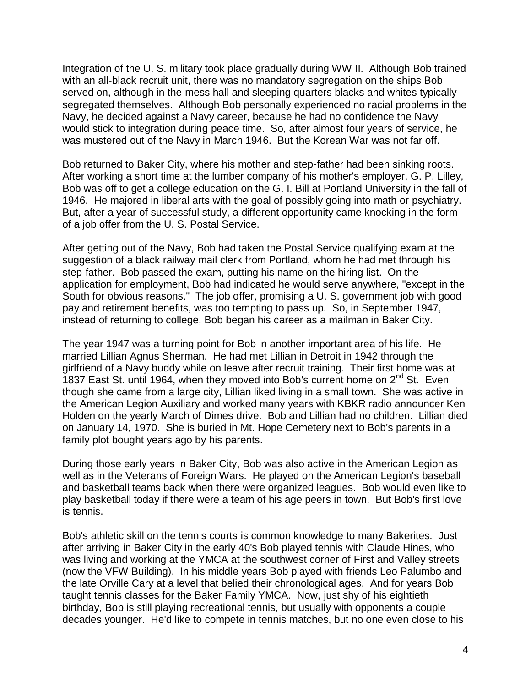Integration of the U. S. military took place gradually during WW II. Although Bob trained with an all-black recruit unit, there was no mandatory segregation on the ships Bob served on, although in the mess hall and sleeping quarters blacks and whites typically segregated themselves. Although Bob personally experienced no racial problems in the Navy, he decided against a Navy career, because he had no confidence the Navy would stick to integration during peace time. So, after almost four years of service, he was mustered out of the Navy in March 1946. But the Korean War was not far off.

Bob returned to Baker City, where his mother and step-father had been sinking roots. After working a short time at the lumber company of his mother's employer, G. P. Lilley, Bob was off to get a college education on the G. I. Bill at Portland University in the fall of 1946. He majored in liberal arts with the goal of possibly going into math or psychiatry. But, after a year of successful study, a different opportunity came knocking in the form of a job offer from the U. S. Postal Service.

After getting out of the Navy, Bob had taken the Postal Service qualifying exam at the suggestion of a black railway mail clerk from Portland, whom he had met through his step-father. Bob passed the exam, putting his name on the hiring list. On the application for employment, Bob had indicated he would serve anywhere, "except in the South for obvious reasons." The job offer, promising a U. S. government job with good pay and retirement benefits, was too tempting to pass up. So, in September 1947, instead of returning to college, Bob began his career as a mailman in Baker City.

The year 1947 was a turning point for Bob in another important area of his life. He married Lillian Agnus Sherman. He had met Lillian in Detroit in 1942 through the girlfriend of a Navy buddy while on leave after recruit training. Their first home was at 1837 East St. until 1964, when they moved into Bob's current home on 2<sup>nd</sup> St. Even though she came from a large city, Lillian liked living in a small town. She was active in the American Legion Auxiliary and worked many years with KBKR radio announcer Ken Holden on the yearly March of Dimes drive. Bob and Lillian had no children. Lillian died on January 14, 1970. She is buried in Mt. Hope Cemetery next to Bob's parents in a family plot bought years ago by his parents.

During those early years in Baker City, Bob was also active in the American Legion as well as in the Veterans of Foreign Wars. He played on the American Legion's baseball and basketball teams back when there were organized leagues. Bob would even like to play basketball today if there were a team of his age peers in town. But Bob's first love is tennis.

Bob's athletic skill on the tennis courts is common knowledge to many Bakerites. Just after arriving in Baker City in the early 40's Bob played tennis with Claude Hines, who was living and working at the YMCA at the southwest corner of First and Valley streets (now the VFW Building). In his middle years Bob played with friends Leo Palumbo and the late Orville Cary at a level that belied their chronological ages. And for years Bob taught tennis classes for the Baker Family YMCA. Now, just shy of his eightieth birthday, Bob is still playing recreational tennis, but usually with opponents a couple decades younger. He'd like to compete in tennis matches, but no one even close to his